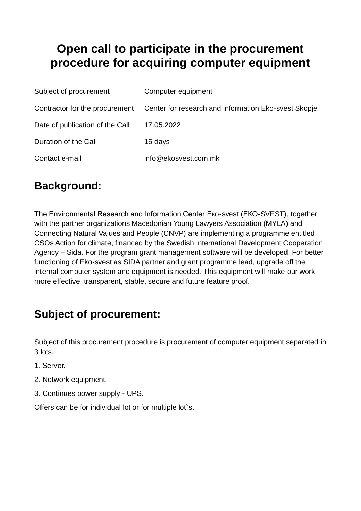# **Open call to participate in the procurement procedure for acquiring computer equipment**

| Subject of procurement          | Computer equipment                                   |
|---------------------------------|------------------------------------------------------|
| Contractor for the procurement  | Center for research and information Eko-svest Skopje |
| Date of publication of the Call | 17.05.2022                                           |
| Duration of the Call            | 15 days                                              |
| Contact e-mail                  | info@ekosvest.com.mk                                 |

# **Background:**

The Environmental Research and Information Center Eкo-svest (EКO-SVEST), together with the partner organizations Macedonian Young Lawyers Association (MYLA) and Connecting Natural Values and People (CNVP) are implementing a programme entitled CSOs Action for climate, financed by the Swedish International Development Cooperation Agency – Sida. For the program grant management software will be developed. For better functioning of Eko-svest as SIDA partner and grant programme lead, upgrade off the internal computer system and equipment is needed. This equipment will make our work more effective, transparent, stable, secure and future feature proof.

# **Subject of procurement:**

Subject of this procurement procedure is procurement of computer equipment separated in 3 lots.

- 1. Server.
- 2. Network equipment.
- 3. Continues power supply UPS.

Offers can be for individual lot or for multiple lot`s.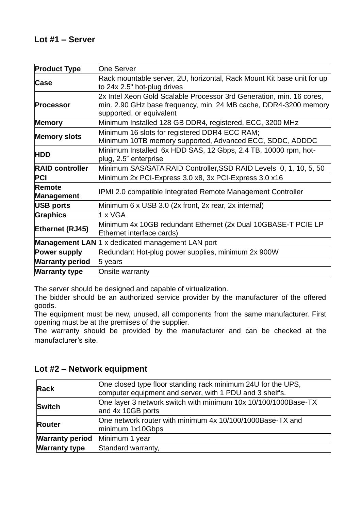| <b>Product Type</b>    | <b>One Server</b>                                                                                                                                                    |
|------------------------|----------------------------------------------------------------------------------------------------------------------------------------------------------------------|
| Case                   | Rack mountable server, 2U, horizontal, Rack Mount Kit base unit for up<br>to 24x 2.5" hot-plug drives                                                                |
| <b>Processor</b>       | 2x Intel Xeon Gold Scalable Processor 3rd Generation, min. 16 cores,<br>min. 2.90 GHz base frequency, min. 24 MB cache, DDR4-3200 memory<br>supported, or equivalent |
| <b>Memory</b>          | Minimum Installed 128 GB DDR4, registered, ECC, 3200 MHz                                                                                                             |
| <b>Memory slots</b>    | Minimum 16 slots for registered DDR4 ECC RAM;<br>Minimum 10TB memory supported, Advanced ECC, SDDC, ADDDC                                                            |
| <b>HDD</b>             | Minimum Installed 6x HDD SAS, 12 Gbps, 2.4 TB, 10000 rpm, hot-<br>plug, 2.5" enterprise                                                                              |
| <b>RAID controller</b> | Minimum SAS/SATA RAID Controller, SSD RAID Levels 0, 1, 10, 5, 50                                                                                                    |
| <b>PCI</b>             | Minimum 2x PCI-Express 3.0 x8, 3x PCI-Express 3.0 x16                                                                                                                |
| Remote<br>Management   | IPMI 2.0 compatible Integrated Remote Management Controller                                                                                                          |
| USB ports              | Minimum 6 x USB 3.0 (2x front, 2x rear, 2x internal)                                                                                                                 |
| Graphics               | 1 x VGA                                                                                                                                                              |
| Ethernet (RJ45)        | Minimum 4x 10GB redundant Ethernet (2x Dual 10GBASE-T PCIE LP<br>Ethernet interface cards)                                                                           |
|                        | <b>Management LAN</b> 1 x dedicated management LAN port                                                                                                              |
| <b>Power supply</b>    | Redundant Hot-plug power supplies, minimum 2x 900W                                                                                                                   |
| <b>Warranty period</b> | 5 years                                                                                                                                                              |
| <b>Warranty type</b>   | Onsite warranty                                                                                                                                                      |

The server should be designed and capable of virtualization.

The bidder should be an authorized service provider by the manufacturer of the offered goods.

The equipment must be new, unused, all components from the same manufacturer. First opening must be at the premises of the supplier.

The warranty should be provided by the manufacturer and can be checked at the manufacturer's site.

| <b>Rack</b>            | One closed type floor standing rack minimum 24U for the UPS,<br>computer equipment and server, with 1 PDU and 3 shelf's. |  |
|------------------------|--------------------------------------------------------------------------------------------------------------------------|--|
| Switch                 | One layer 3 network switch with minimum 10x 10/100/1000Base-TX<br>and 4x 10GB ports                                      |  |
| Router                 | One network router with minimum 4x 10/100/1000Base-TX and<br>minimum 1x10Gbps                                            |  |
| <b>Warranty period</b> | Minimum 1 year                                                                                                           |  |
| <b>Warranty type</b>   | Standard warranty,                                                                                                       |  |

#### **Lot #2 – Network equipment**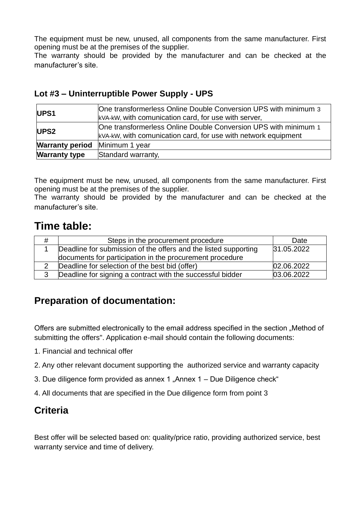The equipment must be new, unused, all components from the same manufacturer. First opening must be at the premises of the supplier.

The warranty should be provided by the manufacturer and can be checked at the manufacturer's site.

#### **Lot #3 – Uninterruptible Power Supply - UPS**

| UPS <sub>1</sub>       | One transformerless Online Double Conversion UPS with minimum 3<br>kVA-kW, with comunication card, for use with server,           |
|------------------------|-----------------------------------------------------------------------------------------------------------------------------------|
| UPS <sub>2</sub>       | One transformerless Online Double Conversion UPS with minimum 1<br>kVA-kW, with comunication card, for use with network equipment |
| <b>Warranty period</b> | Minimum 1 year                                                                                                                    |
| <b>Warranty type</b>   | Standard warranty,                                                                                                                |

The equipment must be new, unused, all components from the same manufacturer. First opening must be at the premises of the supplier.

The warranty should be provided by the manufacturer and can be checked at the manufacturer's site.

## **Time table:**

| # | Steps in the procurement procedure                              | Date       |
|---|-----------------------------------------------------------------|------------|
|   | Deadline for submission of the offers and the listed supporting | 31.05.2022 |
|   | documents for participation in the procurement procedure        |            |
|   | Deadline for selection of the best bid (offer)                  | 02.06.2022 |
|   | Deadline for signing a contract with the successful bidder      | 03.06.2022 |

### **Preparation of documentation:**

Offers are submitted electronically to the email address specified in the section "Method of submitting the offers". Application e-mail should contain the following documents:

- 1. Financial and technical offer
- 2. Any other relevant document supporting the authorized service and warranty capacity
- 3. Due diligence form provided as annex  $1$  "Annex  $1 -$  Due Diligence check"
- 4. All documents that are specified in the Due diligence form from point 3

### **Criteria**

Best offer will be selected based on: quality/price ratio, providing authorized service, best warranty service and time of delivery.